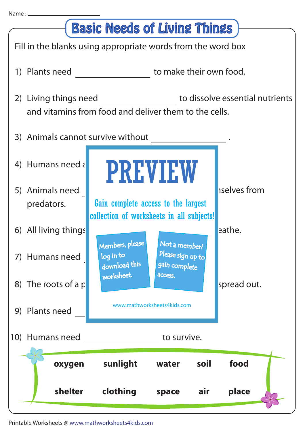